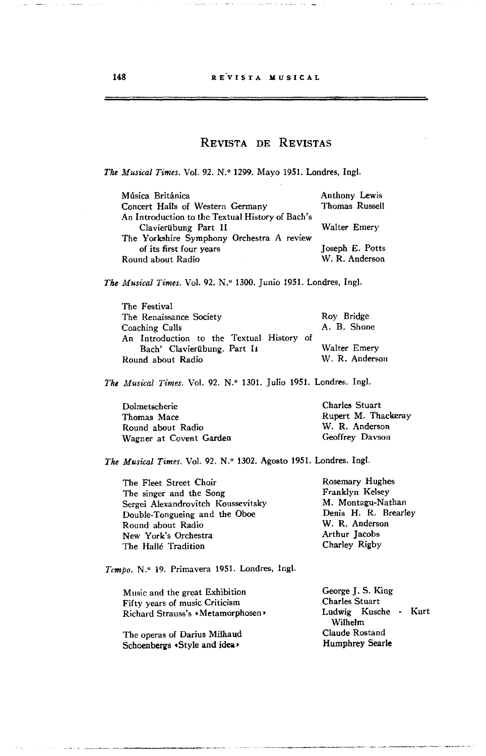## REVISTA DE REVISTAS

*The Musical Times.* Vol. 92. N.º 1299. Mayo 1951. Londres, Ingl.

| Música Británica                                 | <b>Anthony Lewis</b> |
|--------------------------------------------------|----------------------|
| Concert Halls of Western Germany                 | Thomas Russell       |
| An Introduction to the Textual History of Bach's |                      |
| Clavierübung Part II                             | Walter Emery         |
| The Yorkshire Symphony Orchestra A review        |                      |
| of its first four years                          | Joseph E. Potts      |
| Round about Radio                                | W. R. Anderson       |

*The Musical Times.* Vol. 92. N.º 1300. Junio 1951. Londres, Ingl.

| The Festival                              |                |
|-------------------------------------------|----------------|
| The Renaissance Society                   | Roy Bridge     |
| Coaching Calls                            | A. B. Shone    |
| An Introduction to the Textual History of |                |
| Bach' Clavierübung. Part II               | Walter Emery   |
| Round about Radio                         | W. R. Anderson |

The Musical Times. Vol. 92. N.º 1301. Julio 1951. Londres. Ingl.

| Dolmetscherie           | <b>Charles Stuart</b> |
|-------------------------|-----------------------|
| Thomas Mace             | Rupert M. Thackeray   |
| Round about Radio       | W. R. Anderson        |
| Wagner at Covent Garden | Geoffrey Davson       |

The Musical Times. Vol. 92. N.º 1302. Agosto 1951. Londres. Ingl.

| The Fleet Street Choir             | Rosemary Hughes      |
|------------------------------------|----------------------|
| The singer and the Song            | Franklyn Kelsey      |
| Sergei Alexandrovitch Koussevitsky | M. Montagu-Nathan    |
| Double-Tongueing and the Oboe      | Denis H. R. Brearley |
| Round about Radio                  | W. R. Anderson       |
| New York's Orchestra               | Arthur Jacobs        |
| The Halle Tradition                | Charley Rigby        |
|                                    |                      |

*Tempo.* N.o 19. Primavera 1951. Londres, Ingl.

Music and the great Exhibition Fifty years of music Criticism Richard Strauss's **«Metamorphosen**»

The operas of Darius Milhaud Schoenbergs <Style and idea>

George J. S. King Charles Stuart Ludwig Kusche - Kurt Wilhelm Claude Rostand Humphrey Searle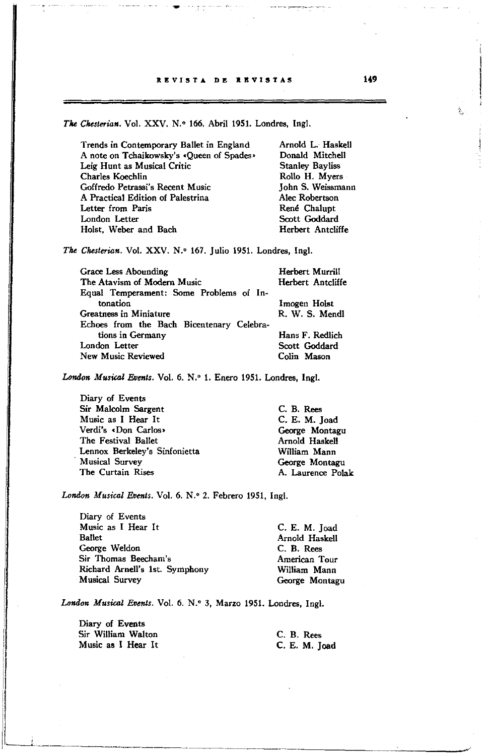## REVISTA DE REVISTAS

The Chesterian. Vol. XXV. N.º 166. Abril 1951. Londres, Ingl.

| Trends in Contemporary Ballet in England  | Arnold L. Haskell      |
|-------------------------------------------|------------------------|
| A note on Tchaikowsky's «Queen of Spades» | Donald Mitchell        |
| Leig Hunt as Musical Critic               | <b>Stanley Bayliss</b> |
| Charles Koechlin                          | Rollo H. Myers         |
| Goffredo Petrassi's Recent Music          | John S. Weissmann      |
| A Practical Edition of Palestrina         | Alec Robertson         |
| Letter from Paris                         | René Chalupt           |
| London Letter                             | Scott Goddard          |
| Holst, Weber and Bach                     | Herbert Antcliffe      |

*The Chesterian.* Vol. XXV. N.º 167. Julio 1951. Londres, Ingl.

| Grace Less Abounding<br>The Atavism of Modern Music<br>Equal Temperament: Some Problems of In- | Herbert Murrill<br>Herbert Antcliffe            |
|------------------------------------------------------------------------------------------------|-------------------------------------------------|
| tonation<br>Greatness in Miniature<br>Echoes from the Bach Bicentenary Celebra-                | Imogen Holst<br>R. W. S. Mendl                  |
| tions in Germany<br>London Letter<br><b>New Music Reviewed</b>                                 | Hans F. Redlich<br>Scott Goddard<br>Colin Mason |

London Musical Events. Vol. 6. N.º 1. Enero 1951. Londres, Ingl.

Diary of Events Sir Malcolm Sargent Music as I Hear It Verdi's eDon Carlos> The Festival Ballet Lennox Berkeley's Sinfonietta . Musical Survey The Curtain Rises

London Musical Events. Vol. 6. N.º 2. Febrero 1951, Ingl.

Diary of Events Music as I Hear It Ballet George Weldon Sir Tbomas Beecham's Richard Arnell's 1st. Symphony Musical Survey

C. E. M. Joad Arnold Haskell C. B. Rees American Tour William Mann George Montagu

London Musical Events. Vol. 6. N.º 3, Marzo 1951. Londres, Ingl.

Diary of Events Sir William Walton Music as I Hear It

C. B. Rees C. E. M. Joad

----------------~------------'~

C. B. Rees C. E. M. Joad George Montagu Arnold Haskell WilIiam Mann George Montagu A. Laurence Polak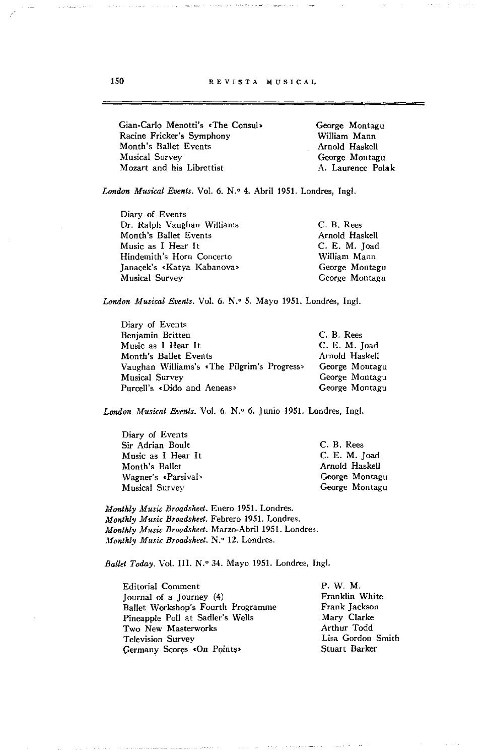150 **REVISTA MUSICAL** 

Gian-Carlo Menotti's .The Consul> Racine Fricker's Symphony Month's Ballet Events Musical Survey Mozart and his Librettist George Montagu William Mann Arnold Haskell George Montagu A. Laurence Polak

London Musical Events. Vol. 6. N.º 4. Abril 1951. Londres, Ingl.

| C. B. Rees     |
|----------------|
| Arnold Haskell |
| C. E. M. Toad  |
| William Mann   |
| George Montagu |
| George Montagu |
|                |

London Musical Events. Vol. 6. N.º 5. Mayo 1951. Londres, Ingl.

| Diary of Events                             |                |
|---------------------------------------------|----------------|
| Benjamin Britten                            | C. B. Rees     |
| Music as I Hear It                          | C. E. M. Joad  |
| Month's Ballet Events                       | Arnold Haskell |
| Vaughan Williams's «The Pilgrim's Progress» | George Montagu |
| <b>Musical Survey</b>                       | George Montagu |
| Purcell's «Dido and Aeneas»                 | George Montagu |

London Musical Events. Vol. 6. N.º 6. Junio 1951. Londres, Ingl.

| Diary of Events       |                |
|-----------------------|----------------|
| Sir Adrian Boult      | C. B. Rees     |
| Music as I Hear It    | C. E. M. Joad  |
| Month's Ballet        | Arnold Haskell |
| Wagner's «Parsival»   | George Montagu |
| <b>Musical Survey</b> | George Montagu |

*Monlkly Music Broadsheel.* Enero 1951. Londres. *Monlkly Music Broadskeel.* Febrero 1951. Londres. *Monlkly Music Broadskeel.* Marzo-Abril 1951. Londres. *Monthly Music Broadsheet.* N.º 12. Londres.

Ballet Today. Vol. III. N.º 34. Mayo 1951. Londres, Ingl.

| <b>Editorial Comment</b>           | P. W. M.          |
|------------------------------------|-------------------|
| [ournal of a ] ourney $(4)$        | Franklin White    |
| Ballet Workshop's Fourth Programme | Frank Jackson     |
| Pineapple Poll at Sadler's Wells   | Mary Clarke       |
| Two New Masterworks                | Arthur Todd       |
| <b>Television Survey</b>           | Lisa Gordon Smith |
| Germany Scores «On Points»         | Stuart Barker     |
|                                    |                   |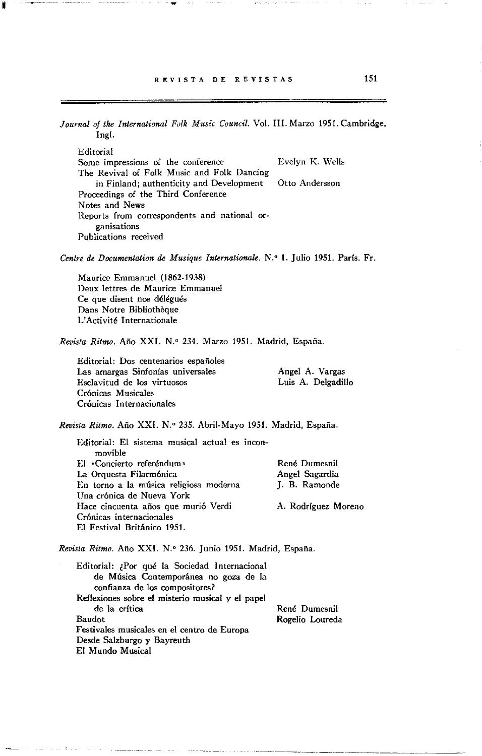l'

Journal of the International Folk Music Council. Vol. III. Marzo 1951. Cambridge, Ingl. Editorial Some impressions of the conference Evelyn K. Wells The Revival of Folk Musie and Folk Dancing in Finland; authenticity and Development Otto Andersson Proceedings of the Third Conferenee Notes and News **Reports from correspondents and national** or~ **ganisations Publications received**  Centre de Documentation de Musique Internationale. N.º 1. Julio 1951. París. Fr. Maurice Emmanuel (1862-1938) Deux lettres de Maurice Emmanuel Ce que disent nos délégués Dans Notre Bibliothèque L'Aetivité Internationale *Revista Ritmo.* Año XXI. N.o 234. Marzo 1951. Madrid, España. **Editorial: Dos centenarios españoles Las amargas Sinfonías universales**  Esclavitud de los virtuosos Crónicas Musicales **Cr6nicas Internacionales**  Angel A. Vargas Luis A. Delgadillo *Revista Ritmo.* Año XXI. N.o 235. Abril-Mayo 1951. Madrid, España. Editorial: El sistema musical actual es inconmovible El «Concierto referéndum» La Orquesta Filarmónica **En torno a la música religiosa moderna**  Una crónica de Nueva York **Hace cincuenta años que murió Verdi Crónicas internacionales**  El Festival Británico 1951. **René Dumesnil**  Angel Sagardia J. B. Ramonde A. Rodríguez Moreno *Revista Ritmo.* Año XXI. N.º 236. Junio 1951. Madrid, España. Editorial: ¿Por qué la Sociedad Internacional de Música Contemporánea no goza de la confianza de los compositores? Reflexiones sobre el misterio musical y el papel de la crítica Baudot **Festivales musicales en el centro de Europa**  Desde Salzburgo y Bayreuth El Mundo Musical René Dumesnil Rogelio Loureda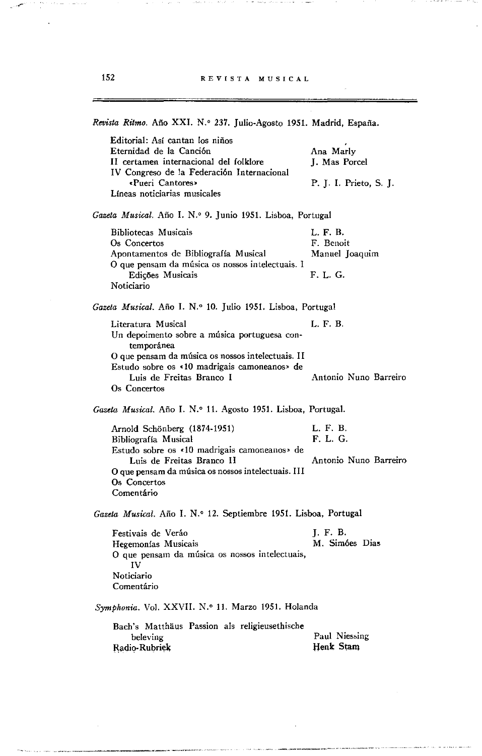$\gamma$  , as a map and construction of the construction

in war en

 $\sim$   $\sim$ 

| Revista Ritmo. Año XXI. N.º 237. Julio-Agosto 1951. Madrid, España.                                                                                                                                                                |                                                      |  |
|------------------------------------------------------------------------------------------------------------------------------------------------------------------------------------------------------------------------------------|------------------------------------------------------|--|
| Editorial: Así cantan los niños<br>Eternidad de la Canción<br>II certamen internacional del folklore<br>IV Congreso de la Federación Internacional<br>«Pueri Cantores»<br>Líneas noticiarias musicales                             | Ana Marly<br>J. Mas Porcel<br>P. J. I. Prieto, S. J. |  |
| Gazeta Musical. Año I. N.º 9. Junio 1951. Lisboa, Portugal                                                                                                                                                                         |                                                      |  |
| Bibliotecas Musicais<br>Os Concertos<br>Apontamentos de Bibliografía Musical<br>O que pensam da música os nossos intelectuais. I<br>Edicões Musicais<br>Noticiario                                                                 | L. F. B.<br>F. Benoit<br>Manuel Joaquim<br>F. L. G.  |  |
| Gazeta Musical. Año I. N.º 10. Julio 1951. Lisboa, Portugal                                                                                                                                                                        |                                                      |  |
| Literatura Musical<br>Un depoimento sobre a música portuguesa con-<br>temporánea<br>O que pensam da música os nossos intelectuais. II<br>Estudo sobre os <10 madrigais camoneanos » de<br>Luis de Freitas Branco I<br>Os Concertos | L. F. B.<br>Antonio Nuno Barreiro                    |  |
| Gazeta Musical. Año I. N.º 11. Agosto 1951. Lisboa, Portugal.                                                                                                                                                                      |                                                      |  |
| Arnold Schönberg (1874-1951)<br>Bibliografía Musical<br>Estudo sobre os «10 madrigais camoneanos» de<br>Luis de Freitas Branco II<br>O que pensam da música os nossos intelectuais. III<br>Os Concertos<br>Comentário              | L. F. B.<br>F. L. G.<br>Antonio Nuno Barreiro        |  |
| Gazeta Musical. Año I. N.º 12. Septiembre 1951. Lisboa, Portugal                                                                                                                                                                   |                                                      |  |
| Festivais de Veráo<br>Hegemonías Musicais<br>O que pensam da música os nossos intelectuais,<br>IV<br>Noticiario<br>Comentário                                                                                                      | J. F. B.<br>M. Simóes Dias                           |  |
| Symphonia. Vol. XXVII. N.º 11. Marzo 1951. Holanda                                                                                                                                                                                 |                                                      |  |
| Bach's Matthäus Passion als religieusethische<br>beleving<br>Radio-Rubriek                                                                                                                                                         | Paul Niessing<br>Henk Stam                           |  |

in a sas

.<br>2004 - Course Commercial

 $\epsilon$  , and the result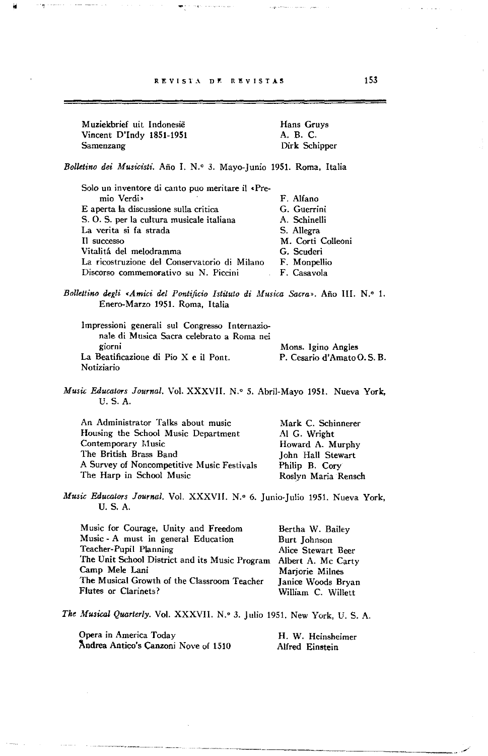Muziekbrief uit Indonesie Vineent O'lndy 1851-1951 Samenzang

Hans Gruys A. B. C. Oirk Schipper

 $\mathbf{v}_1$  grows to an expression

## *Bolletino dei Musicisti.* Año 1. N.' 3. Mayo-Junio 1951. Roma, Italia

| Solo un inventore di canto puo meritare il «Pre- |                   |
|--------------------------------------------------|-------------------|
| mio Verdi»                                       | F. Alfano         |
| E aperta la discussione sulla critica            | G. Guerrini       |
| S. O. S. per la cultura musicale italiana        | A. Schinelli      |
| La verita si fa strada                           | S. Allegra        |
| Il successo                                      | M. Corti Colleoni |
| Vitalitá del melodramma                          | G. Scuderi        |
| La ricostruzione del Conservatorio di Milano     | F. Monpellio      |
| Discorso commemorativo su N. Piccini             | F. Casavola       |

Bollettino degli «Amici del Pontificio Istituto di Musica Sacra». Año III. N.º 1. Enero-Marzo 1951. Roma, Italia

| Impressioni generali sul Congresso Internazio- |                           |
|------------------------------------------------|---------------------------|
| nale di Musica Sacra celebrato a Roma nei      |                           |
| giorni                                         | Mons. Igino Angles        |
| La Beatificazione di Pio X e il Pont.          | P. Cesario d'Amato O.S.B. |
| Notiziario                                     |                           |

*Music Educators Journal.* Vol. XXXVII. N.º 5. Abril-Mayo 1951. Nueva York, U.S.A.

| An Administrator Talks about music         | Mark C. Schinnerer  |
|--------------------------------------------|---------------------|
| Housing the School Music Department        | Al G. Wright        |
| Contemporary Music                         | Howard A. Murphy    |
| The British Brass Band                     | John Hall Stewart   |
| A Survey of Noncompetitive Music Festivals | Philip B. Cory      |
| The Harp in School Music                   | Roslyn Maria Rensch |

*Music Educators Journal.* Vol. XXXVII. N.º 6. Junio-Julio 1951. Nueva York, U. S. A.

| Music for Courage, Unity and Freedom           | Bertha W. Bailey   |
|------------------------------------------------|--------------------|
| Music - A must in general Education            | Burt Johnson       |
| Teacher-Pupil Planning                         | Alice Stewart Beer |
| The Unit School District and its Music Program | Albert A. Mc Carty |
| Camp Mele Lani                                 | Marjorie Milnes    |
| The Musical Growth of the Classroom Teacher    | Janice Woods Bryan |
| Flutes or Clarinets?                           | William C. Willett |

*The Musical Quarterly.* Vol. XXXVII. N.' 3. Julio 1951. New York, U. 5. A.

Opera in America Today Andrea Antico's Canzoni Nove of 1510

H. W. Heinsheimer Alfred Einstein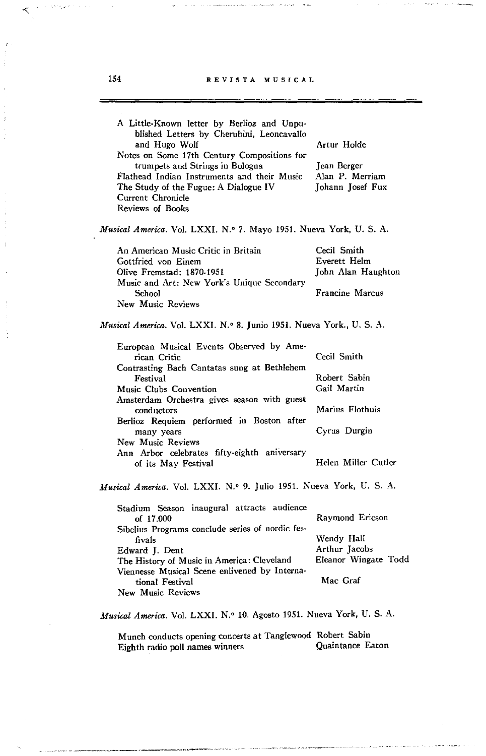| A Little-Known letter by Berlioz and Unpu-<br>blished Letters by Cherubini, Leoncavallo<br>and Hugo Wolf<br>Notes on Some 17th Century Compositions for<br>trumpets and Strings in Bologna<br>Flathead Indian Instruments and their Music<br>The Study of the Fugue: A Dialogue IV<br>Current Chronicle<br>Reviews of Books                                              | Artur Holde<br>Jean Berger<br>Alan P. Merriam<br>Johann Josef Fux                                    |  |
|--------------------------------------------------------------------------------------------------------------------------------------------------------------------------------------------------------------------------------------------------------------------------------------------------------------------------------------------------------------------------|------------------------------------------------------------------------------------------------------|--|
| Musical America. Vol. LXXI. N.º 7. Mayo 1951. Nueva York, U. S. A.                                                                                                                                                                                                                                                                                                       |                                                                                                      |  |
| An American Music Critic in Britain<br>Gottfried von Einem<br>Olive Fremstad: 1870-1951<br>Music and Art: New York's Unique Secondary<br><b>School</b><br>New Music Reviews                                                                                                                                                                                              | Cecil Smith<br>Everett Helm<br>John Alan Haughton<br>Francine Marcus                                 |  |
| Musical America. Vol. LXXI. N.º 8. Junio 1951. Nueva York., U. S. A.                                                                                                                                                                                                                                                                                                     |                                                                                                      |  |
| European Musical Events Observed by Ame-<br>rican Critic<br>Contrasting Bach Cantatas sung at Bethlehem<br>Festival<br>Music Clubs Convention<br>Amsterdam Orchestra gives season with guest<br>conductors<br>Berlioz Requiem performed in Boston after<br>many years<br><b>New Music Reviews</b><br>Ann Arbor celebrates fifty-eighth aniversary<br>of its May Festival | Cecil Smith<br>Robert Sabin<br>Gail Martin<br>Marius Flothuis<br>Cyrus Durgin<br>Helen Miller Cutler |  |
| Musical America. Vol. LXXI. N.º 9. Julio 1951. Nueva York, U. S. A.                                                                                                                                                                                                                                                                                                      |                                                                                                      |  |
| Stadium Season inaugural attracts audience<br>of 17.000<br>Sibelius Programs conclude series of nordic fes-<br>fivals<br>Edward J. Dent<br>The History of Music in America: Cleveland<br>Viennesse Musical Scene enlivened by Interna-<br>tional Festival<br>New Music Reviews                                                                                           | Raymond Ericson<br>Wendy Hall<br>Arthur Jacobs<br>Eleanor Wingate Todd<br>Mac Graf                   |  |

*Musical America.* Vol. LXXI. N.o 10. Agosto 1951. Nueva York, U. S. A.

Munch conducts opening concerts at Tanglewood Robert Sabin<br>Eighth radio poll names winners Quaintance Eaton Eighth radio poll names winners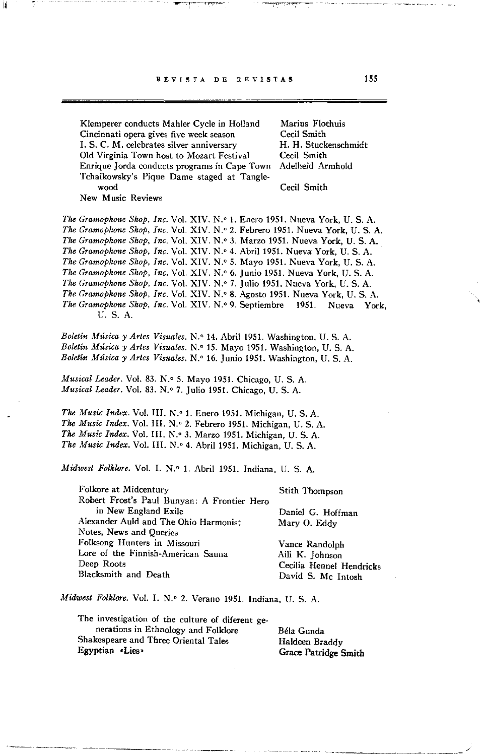REVISTA DE REVISTAS

11,

Klemperer conducts Mahler Cycle in Holland **Cincinnati opera gives five week season**  Marius Flothuis Cecil Smith I. S. C. M. celebrates silver anniversary Old Virginia Town host to Mozart Festival Enrique Jorda conducts programs in Cape Town Tchaikowsky's Pique Dame staged at Tangle-H. H. Stuckenschmidt Cecil Smith Adelheid Armhold wood Cecil Smith **New Music Reviews**  *The Gramophone Shop, Ine.* Vol. XIV. N." 1. Enero 1951. Nueva York, U. S. A. *The Gramophone Shop, Inc. Vol. XIV. N.º 2. Febrero 1951. Nueva York, U. S. A. The Gramophone Shop, Inc. Vol. XIV. N.º 3. Marzo 1951. Nueva York, U. S. A. The Gramophone Shop, Inc. Vol. XIV. N.º 4. Abril 1951. Nueva York, U. S. A. The Gramophone Shop, Ine.* Vol. XIV. N.O 5. Mayo 1951. Nueva York, U. S. A. *The Gramophone Shop, Ine.* Vol. XIV. N." 6. Junio 1951. Nueva York, U. S. A. *The Gramophone Shop, Inc. Vol. XIV. N.º 7. Julio 1951. Nueva York, U. S. A. The Gramophone Shop, Inc. Vol. XIV. N.º 8. Agosto 1951. Nueva York, U. S. A. The Gramophone Shop, Inc. Vol. XIV. N.º 9. Septiembre* 1951. Nueva York, U. S. A.

Boletín Música y Artes Visuales. N.º 14. Abril 1951. Washington, U. S. A. *Boletín Músiea y Artes Visuales.* N.O 15. Mayo 1951. Washington, U. S. A. *Boletín Música y Artes Visuales.* N.º 16. Junio 1951. Washington, U. S. A.

*Musical Leader.* Vol. 83. N.º 5. Mayo 1951. Chicago, U. S. A. *Musical Leader. Vol. 83. N.º 7. Julio 1951. Chicago, U. S. A.* 

*The Music Index.* Vol. III. N.º 1. Enero 1951. Michigan, U. S. A. The Music Index. Vol. III. N.º 2. Febrero 1951. Michigan, U. S. A. The Music Index. Vol. III. N.º 3. Marzo 1951. Michigan, U. S. A. The Music Index. Vol. III. N.º 4. Abril 1951. Michigan, U. S. A.

*Midwest Folklore.* Vol. I. N.º 1. Abril 1951. Indiana, U. S. A.

Folkore at Midcentury Robert Frost's Paul Bunyan: A Frontier Hero in New England Exile Alexander Auld and The Ohio Harmonist **Notes, News and Queries Folksong Hunters in Missouri Lore of the Finnish-American Sauna**  Deep Roots Blacksmith and Death Stith Thompson Daniel G. Hoffman Mary O. Eddy Vance Randolph Aili K. Johnson Cecilia Hennel Hendricks David S. Mc Intosh

*Midwest Folklore.* Vol. I. N.º 2. Verano 1951. Indiana, U. S. A.

The investigation of the culture of diferent generations in Ethnology and Folklore Shakespeare and Three Oriental Tales Egyptian .Lies>

Béla Gunda Haldeen Braddy Grace Patridge Smith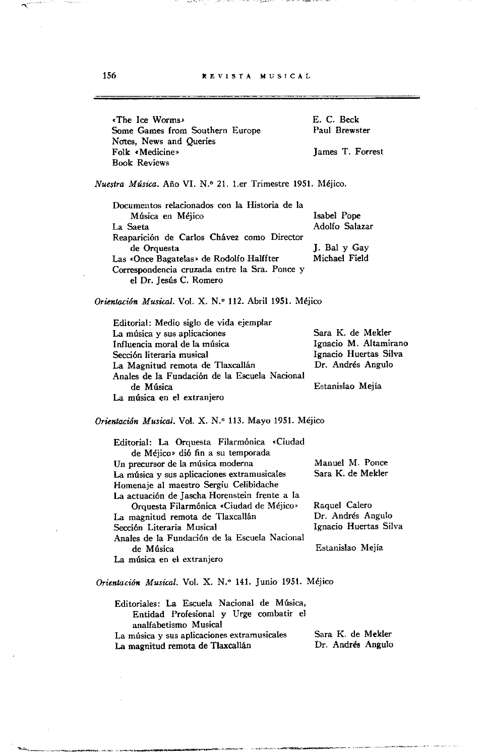156 **REVISTA MUSICAL** 

<The Ice Worms> Sorne Games from Southern Europe Notes, News and Queries Folk «Medicine» Book Reviews E. C. Beck Paul Brewster James T. Forrest *Nuestra Música.* Año VI. N.o 21. l.er Trimestre 1951. Méjico. **Documentos relacionados con la Historia de la**  Música en Méjico La Saeta Reaparición de Carlos Chávez como Director de Orquesta Las <Once Bagatelas> de Rodolfo Halffter Correspondencia cruzada entre la Sra. Ponce y el Dr. Jesús c. Romero Isabel Pope Adolfo Salazar J. Bal y Gay Michael Field *Orientaeión Musical.* Vol. X. N." 112. Abril 1951. Méjico Editorial: Medio siglo de vida ejemplar **La música y sus aplicaciones**  Influencia moral de la música Secci6n literaria musical La Magnitud remota de Tlaxcallán Anales de la Fundación de la Escuela Nacional de Música **La música en el extranjero**  Sara K. de Mekler Ignacio M. Altamirano Ignacio Huertas Silva Dr. Andrés Angulo Estanislao Mejía *Orientación Musical. Vol. X. N.º 113. Mayo 1951. Méjico* Editorial: La Orquesta Filarmónica <Ciudad de Méjico> di6 fin a su temporada **Un precursor de la música moderna La música y sus aplicaciones extramusicales**  Homenaje al maestro Sergiu Celibidache La actuaci6n de Jascha Horenstein frente a la Orquesta Filarmónica <Ciudad de Méjico> La magnitud remota de Tlaxcallán Secci6n Literaria Musical Anales de la Fundaci6n de la Escuela Nacional de Música **La música en el extranjero**  Manuel M. Ponce Sara K. de Mekler Raquel Calero Dr. Andrés Angulo Ignacio Huertas Silva Estanislao Mejía *Orientación Musical.* Vol. X. N.O 141. Junio 1951. Méjico Editoriales: La Escuela Nacional de Música, Entidad Profesional y Urge combatir el analfabetismo Musical **La música y sus aplicaciones extramusicales**  La magnitud remota de Tlaxcallán Sara K. de Mekler Dr. Andrés Angulo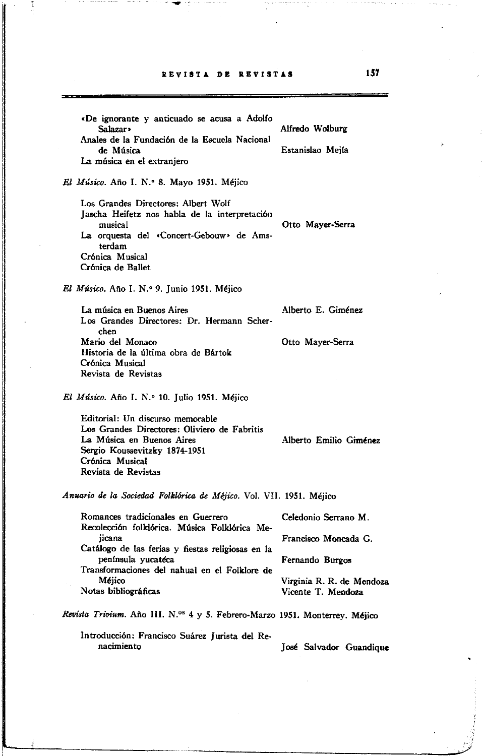## aEVIST~ **DE** aEVIST~S **1ST**

.De ignorante y anticuado se acusa a Adolfo Alfredo Wolburg Anales de la Fundaci6n de la Escuela Nacional Estanislao Mejía La música en el extranjero *El Músico.* Año 1. N.o 8. Mayo 1951. Méjico Los Grandes Directores: Albert Wolf Jascha Heifetz nos habla de la interpretación musical Otto Mayer.Serra La orquesta del «Concert-Gebouw» de Amsterdam Cr6nica Musical Cr6nica de Ballet *El Músico.* Año 1. N.o 9. Junio 1951. Méjico La música en Buenos Aires **Alberto E. Giménez** Los Grandes Directores: Dr. Hermann Scherchen Mario del Monaco Otto Mayer-Serra Historia de la última obra de Bártok Crónica Musical Revista de Revistas *El Músico.* Año I. N.º 10. Julio 1951. Méjico Editorial: Un discurso memorable Los Grandes Directores: Oliviero de Fabritis La Música en Buenos Aires Alberto Emilio Giménez Sergio Koussevitzky 1874-1951 Cr6nica Musical Revista de Revistas *Anuario de la Sociedad Folklórica de Méjico.* Vol. VII. 1951. Méjico Romanoes tradicionales en Guerrero Recolecci6n folkl6rica. Música Folk16rica Mejicana Catálogo de las ferias y fiestas religiosas en la península yucatéca Transformaciones del nahual en el Folklore de Méjico Notas bibliográficas Celedonio Serrano M. Francisco Moncada G. Fernando Burgos Virginia R. R. de Mendoza Vicente T. Mendoza *Revista Trivium.* Año III. N.O' 4 Y 5. Febrero-Marzo 1951. Monterrey. Méjico Introducci6n: Francisco Suárez Jurista del Renacimiento **José Salvador Guandique** 

------------------------------~~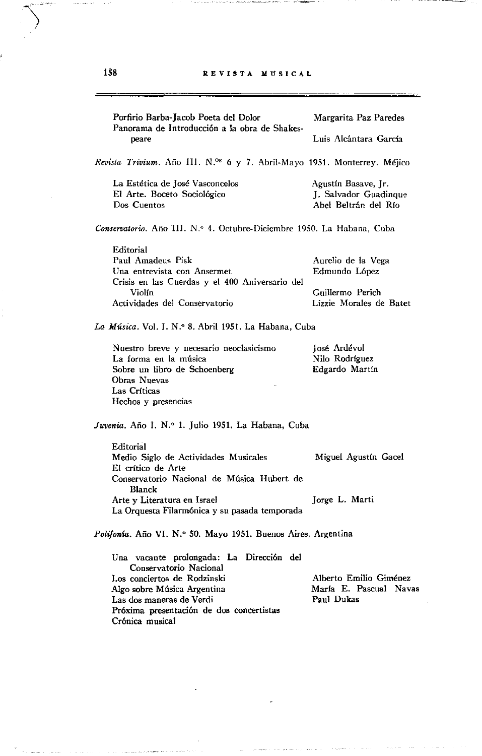Million Lockmanning and which control and the

| Porfirio Barba-Jacob Poeta del Dolor<br>Panorama de Introducción a la obra de Shakes-<br>peare | Margarita Paz Paredes   |
|------------------------------------------------------------------------------------------------|-------------------------|
|                                                                                                | Luis Alcántara García   |
| Revista Trivium. Año III. N.ºS 6 y 7. Abril-Mayo 1951. Monterrey. Méjico                       |                         |
| La Estética de José Vasconcelos                                                                | Agustín Basave, Jr.     |
| El Arte. Boceto Sociológico                                                                    | J. Salvador Guadingue   |
| Dos Cuentos                                                                                    | Abel Beltrán del Río    |
| Conservatorio. Año III. N.º 4. Octubre-Diciembre 1950. La Habana, Cuba                         |                         |
| Editorial                                                                                      |                         |
| Paul Amadeus Pisk                                                                              | Aurelio de la Vega      |
| Una entrevista con Ansermet<br>Crisis en las Cuerdas y el 400 Aniversario del                  | Edmundo López           |
| Violín.                                                                                        | Guillermo Perich        |
| Actividades del Conservatorio                                                                  | Lizzie Morales de Batet |
|                                                                                                |                         |
| La Música. Vol. I. N.º 8. Abril 1951. La Habana, Cuba                                          |                         |
| Nuestro breve y necesario neoclasicismo                                                        | José Ardévol            |
| La forma en la música                                                                          | Nilo Rodríguez          |
| Sobre un libro de Schoenberg                                                                   | Edgardo Martín          |
| Obras Nuevas                                                                                   |                         |
| Las Críticas                                                                                   |                         |
| Hechos y presencias                                                                            |                         |
| Juvenia. Año I. N.º 1. Julio 1951. La Habana, Cuba                                             |                         |
| Editorial                                                                                      |                         |
| Medio Siglo de Actividades Musicales<br>El crítico de Arte                                     | Miguel Agustín Gacel    |
| Conservatorio Nacional de Música Hubert de                                                     |                         |
| Blanck                                                                                         |                         |
| Arte y Literatura en Israel                                                                    | Jorge L. Marti          |
| La Orquesta Filarmónica y su pasada temporada                                                  |                         |
| Polifonía. Año VI. N.º 50. Mayo 1951. Buenos Aires, Argentina                                  |                         |
| Una vacante prolongada: La Dirección del                                                       |                         |
| Conservatorio Nacional                                                                         |                         |
| Los conciertos de Rodzinski                                                                    | Alberto Emilio Giménez  |
| Algo sobre Música Argentina                                                                    | María E. Pascual Navas  |
| Las dos maneras de Verdi                                                                       | Paul Dukas              |
| Próxima presentación de dos concertistas                                                       |                         |
| Crónica musical                                                                                |                         |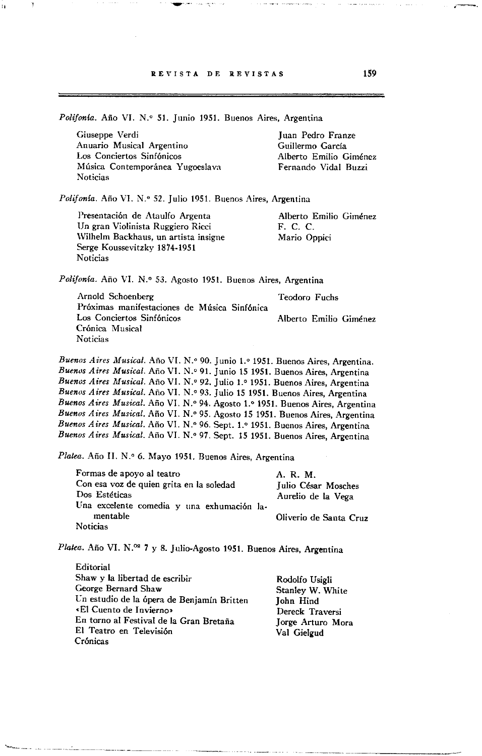Polifonía. Año VI. N.º 51. Junio 1951. Buenos Aires, Argentina Giuseppe Verdi **Anuario Musical Argentino**  Los Conciertos Sinfónicos **l\lúsica Contemporánea Yugoeslava Noticias**  Juan Pedro Franze Guillermo García Alberto Emilio Giménez Fernando Vidal Buzzi Polifonía. Año VI. N.º 52. Julio 1951. Buenos Aires, Argentina Presentación de Ataulfo Argenta Un gran Violinista Ruggiero Ricci **\Vilhelm Backhaus, un artista insigne**  Serge Koussevitzky 1874-1951 **Noticias**  Alberto Emilio Giménez F. C. C. Mario Oppici Polifonía. Año VI. N.º 53. Agosto 1951. Buenos Aires, Argentina Arnold Schoenberg Teodoro Fuchs **Próximas manifestaciones de Música Sinfónica**  Los Conciertos Sinfónicos Alberto Emilio Giménez **Crónica Musical Noticias**  *Buenos Aires Musical. Año VI. N.º 90. Junio 1.º 1951. Buenos Aires, Argentina. Buenos Aires Musical.* Año VI. N.o 91. Junio 15 1951. Buenos Aires, Argentina Buenos Aires Musical. Año VI. N.º 92. Julio 1.º 1951. Buenos Aires, Argentina *Buenos Airrs Musical.* Año VI. N.o 93. Julio 15 1951. Buenos Aires, Argentina Buenos Aires Musical. Año VI. N.º 94. Agosto 1.º 1951. Buenos Aires, Argentina *Buenos Aires Musical.* Año VI. N.o 95. Agosto 15 1951. Buenos Aires, Argentina Buenos Aires Musical. Año VI. N.º 96. Sept. 1.º 1951. Buenos Aires, Argentina Buenos Aires Musical. Año VI. N.º 97. Sept. 15 1951. Buenos Aires, Argentina Platea. Año II. N.º 6. Mayo 1951. Buenos Aires, Argentina Formas de apoyo al teatro Con esa voz de quien grita en la soledad Dos Estéticas Una excelente comedia y una exhumación lamentable **Noticias**  A. R. M. Julio César Mosches Aurelio de la Vega Oliverio de Santa Cruz Platea. Año VI. N.<sup>os</sup> 7 y 8. Julio-Agosto 1951. Buenos Aires, Argentina Editorial Shaw y la libertad de escribir George Bernard Shaw Ln estudio de la ópera de Benjamín Britten **cEl Cuento de Invierno»**  En torno al Festival de la Gran Bretaña Rodolfo Usigli Stanley W. White John Hind Dereck Traversi Jorge Arturo Mora

Val Gielgud

El Teatro en Televisión

Crónicas

,~-.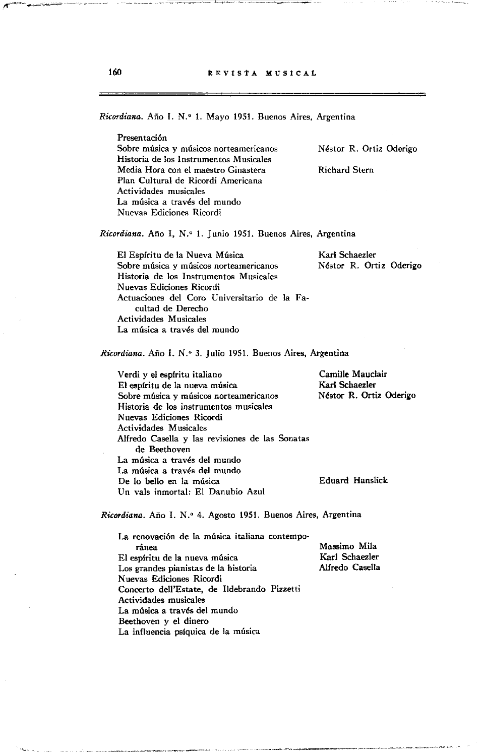*Ricordiana.* Año 1. N.' 1. Mayo 1951. Buenos Aires, Argentina

Presentación **Sobre música y músicos norteamericanos Historia de Jos Instrumentos Musicales Media Hora con el maestro Ginastera**  Plan Cultural de Ricordi Americana **Actividades musicales**  La música a través del mundo Nuevas Ediciones Ricordi

Néstor R. Ortiz Oderigo

Richard Stern

*Ricordiana.* Año 1, N.' 1. Junio 1951. Buenos Aires, Argentina

El Espíritu de la Nueva Música **Sobre música y músicos norteamericanos**  Historia de los Instrumentos Musicales Nuevas Ediciones Ricordi Actuaciones del Coro Universitario de la Facultad de Derecho Actividades Musicales La música a través del mundo

Karl Schaezler Néstor R. Ortiz Oderigo

*Ricordiana.* Año I. N.' 3. Julio 1951. Buenos Aires, Argentina

Verdi y el esplritu italiano El esplritu de la nueva música **Sobre música y músicos norteamericanos Historia de los instrumentos musicales**  N uevas Ediciones Ricordi Actividades Musicales Alfredo Casella y las revisiones de las Sonatas de Beethoven La música a través del mundo La música a través del mundo De lo bello en la música Un vals inmortal: El Danubio Azul Camille Mauclair Karl Schaezler Néstor R. Ortiz Oderigo Eduard Hanslick:

*Ricordiana.* Año I. N.' 4. Agosto 1951. Buenos Aires, Argentina

La renovación de la música italiana contempo**ránea**  El espíritu de la nueva música Los grandes pianistas de la historia Nuevas Ediciones Ricordi Concerto dell'Estate, de Ildebrando Pizzetti Actividades musicales La música a través del mundo Beethoven y el dinero La influencia psíquica de la música Massimo Mila Karl Schaezler Alfredo Casella